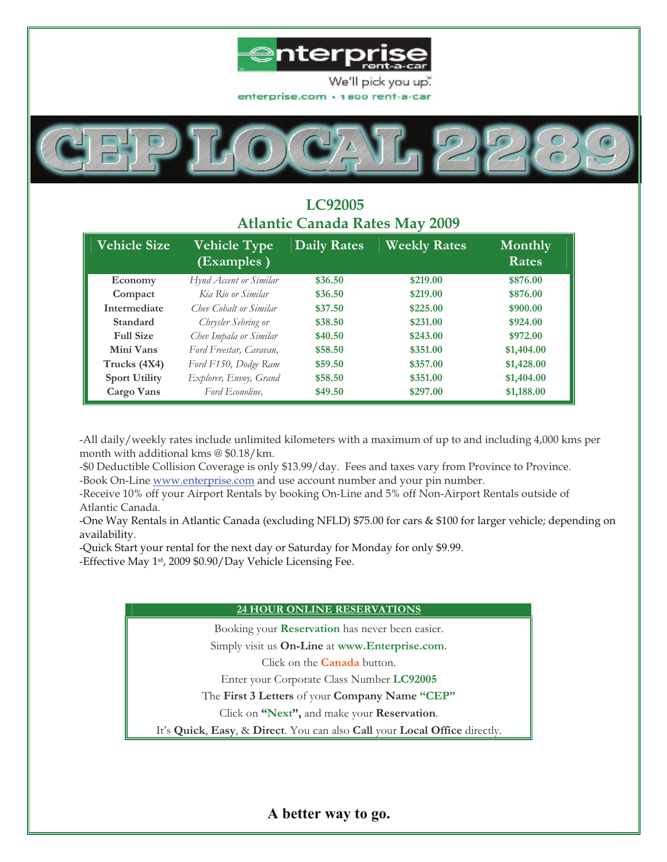



# **LC92005 Atlantic Canada Rates May 2009**

| <b>Vehicle Size</b>  | <b>Vehicle Type</b><br>(Examples) | <b>Daily Rates</b> | <b>Weekly Rates</b> | Monthly<br>Rates |
|----------------------|-----------------------------------|--------------------|---------------------|------------------|
| Economy              | Hynd Accent or Similar            | \$36.50            | \$219.00            | \$876.00         |
| Compact              | Kia Rio or Similar                | \$36.50            | \$219.00            | \$876.00         |
| Intermediate         | Chev Cobalt or Similar            | \$37.50            | \$225.00            | \$900.00         |
| Standard             | Chrysler Sebring or               | \$38.50            | \$231.00            | \$924.00         |
| <b>Full Size</b>     | Chev Impala or Similar            | \$40.50            | \$243.00            | \$972.00         |
| Mini Vans            | Ford Freestar, Caravan,           | \$58.50            | \$351.00            | \$1,404.00       |
| Trucks (4X4)         | Ford F150, Dodge Ram              | \$59.50            | \$357.00            | \$1,428.00       |
| <b>Sport Utility</b> | Explorer, Envoy, Grand            | \$58.50            | \$351.00            | \$1,404.00       |
| Cargo Vans           | Ford Econoline,                   | \$49.50            | \$297.00            | \$1,188.00       |

-All daily/weekly rates include unlimited kilometers with a maximum of up to and including 4,000 kms per month with additional kms @ \$0.18/km.

-\$0 Deductible Collision Coverage is only \$13.99/day. Fees and taxes vary from Province to Province. -Book On-Line www.enterprise.com and use account number and your pin number.

-Receive 10% off your Airport Rentals by booking On-Line and 5% off Non-Airport Rentals outside of Atlantic Canada.

-One Way Rentals in Atlantic Canada (excluding NFLD) \$75.00 for cars & \$100 for larger vehicle; depending on availability.

-Quick Start your rental for the next day or Saturday for Monday for only \$9.99.

-Effective May 1st, 2009 \$0.90/Day Vehicle Licensing Fee.

### **24 HOUR ONLINE RESERVATIONS**

Booking your **Reservation** has never been easier.

Simply visit us **On-Line** at **www.Enterprise.com**.

Click on the **Canada** button.

Enter your Corporate Class Number **LC92005**

The **First 3 Letters** of your **Company Name "CEP"**

Click on **"Next",** and make your **Reservation**.

It's **Quick**, **Easy**, & **Direct**. You can also **Call** your **Local Office** directly.

**A better way to go.**